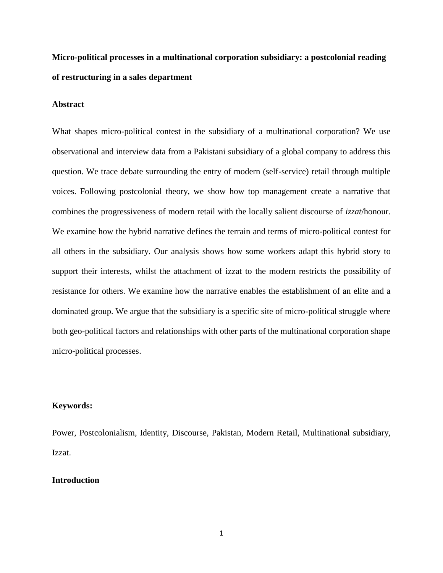**Micro-political processes in a multinational corporation subsidiary: a postcolonial reading of restructuring in a sales department**

## **Abstract**

What shapes micro-political contest in the subsidiary of a multinational corporation? We use observational and interview data from a Pakistani subsidiary of a global company to address this question. We trace debate surrounding the entry of modern (self-service) retail through multiple voices. Following postcolonial theory, we show how top management create a narrative that combines the progressiveness of modern retail with the locally salient discourse of *izzat*/honour. We examine how the hybrid narrative defines the terrain and terms of micro-political contest for all others in the subsidiary. Our analysis shows how some workers adapt this hybrid story to support their interests, whilst the attachment of izzat to the modern restricts the possibility of resistance for others. We examine how the narrative enables the establishment of an elite and a dominated group. We argue that the subsidiary is a specific site of micro-political struggle where both geo-political factors and relationships with other parts of the multinational corporation shape micro-political processes.

# **Keywords:**

Power, Postcolonialism, Identity, Discourse, Pakistan, Modern Retail, Multinational subsidiary, Izzat.

### **Introduction**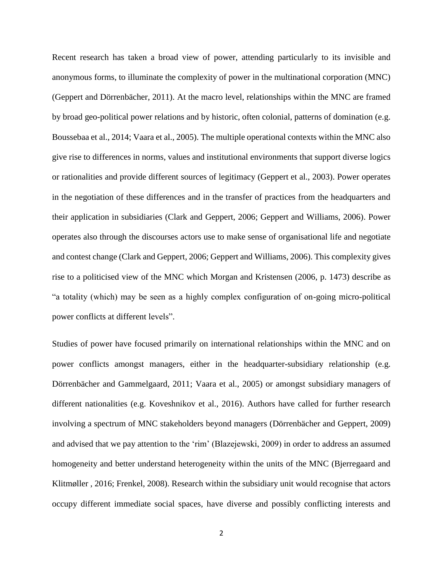Recent research has taken a broad view of power, attending particularly to its invisible and anonymous forms, to illuminate the complexity of power in the multinational corporation (MNC) (Geppert and Dörrenbächer, 2011). At the macro level, relationships within the MNC are framed by broad geo-political power relations and by historic, often colonial, patterns of domination (e.g. Boussebaa et al., 2014; Vaara et al., 2005). The multiple operational contexts within the MNC also give rise to differences in norms, values and institutional environments that support diverse logics or rationalities and provide different sources of legitimacy (Geppert et al., 2003). Power operates in the negotiation of these differences and in the transfer of practices from the headquarters and their application in subsidiaries (Clark and Geppert, 2006; Geppert and Williams, 2006). Power operates also through the discourses actors use to make sense of organisational life and negotiate and contest change (Clark and Geppert, 2006; Geppert and Williams, 2006). This complexity gives rise to a politicised view of the MNC which Morgan and Kristensen (2006, p. 1473) describe as "a totality (which) may be seen as a highly complex configuration of on-going micro-political power conflicts at different levels".

Studies of power have focused primarily on international relationships within the MNC and on power conflicts amongst managers, either in the headquarter-subsidiary relationship (e.g. Dörrenbächer and Gammelgaard, 2011; Vaara et al., 2005) or amongst subsidiary managers of different nationalities (e.g. Koveshnikov et al., 2016). Authors have called for further research involving a spectrum of MNC stakeholders beyond managers (Dörrenbächer and Geppert, 2009) and advised that we pay attention to the 'rim' (Blazejewski, 2009) in order to address an assumed homogeneity and better understand heterogeneity within the units of the MNC (Bjerregaard and Klitmøller , 2016; Frenkel, 2008). Research within the subsidiary unit would recognise that actors occupy different immediate social spaces, have diverse and possibly conflicting interests and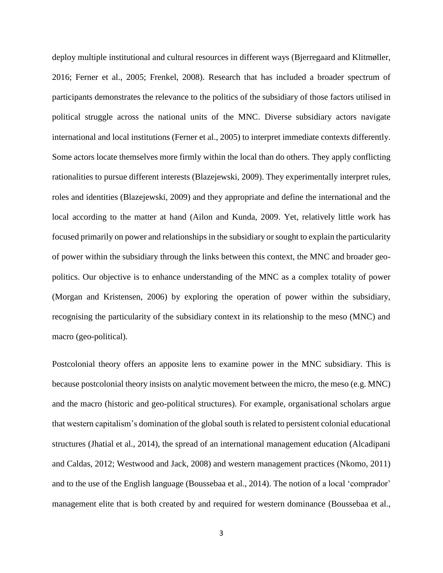deploy multiple institutional and cultural resources in different ways (Bjerregaard and Klitmøller, 2016; Ferner et al., 2005; Frenkel, 2008). Research that has included a broader spectrum of participants demonstrates the relevance to the politics of the subsidiary of those factors utilised in political struggle across the national units of the MNC. Diverse subsidiary actors navigate international and local institutions (Ferner et al., 2005) to interpret immediate contexts differently. Some actors locate themselves more firmly within the local than do others. They apply conflicting rationalities to pursue different interests (Blazejewski, 2009). They experimentally interpret rules, roles and identities (Blazejewski, 2009) and they appropriate and define the international and the local according to the matter at hand (Ailon and Kunda, 2009. Yet, relatively little work has focused primarily on power and relationships in the subsidiary or sought to explain the particularity of power within the subsidiary through the links between this context, the MNC and broader geopolitics. Our objective is to enhance understanding of the MNC as a complex totality of power (Morgan and Kristensen, 2006) by exploring the operation of power within the subsidiary, recognising the particularity of the subsidiary context in its relationship to the meso (MNC) and macro (geo-political).

Postcolonial theory offers an apposite lens to examine power in the MNC subsidiary. This is because postcolonial theory insists on analytic movement between the micro, the meso (e.g. MNC) and the macro (historic and geo-political structures). For example, organisational scholars argue that western capitalism's domination of the global south is related to persistent colonial educational structures (Jhatial et al., 2014), the spread of an international management education (Alcadipani and Caldas, 2012; Westwood and Jack, 2008) and western management practices (Nkomo, 2011) and to the use of the English language (Boussebaa et al., 2014). The notion of a local 'comprador' management elite that is both created by and required for western dominance (Boussebaa et al.,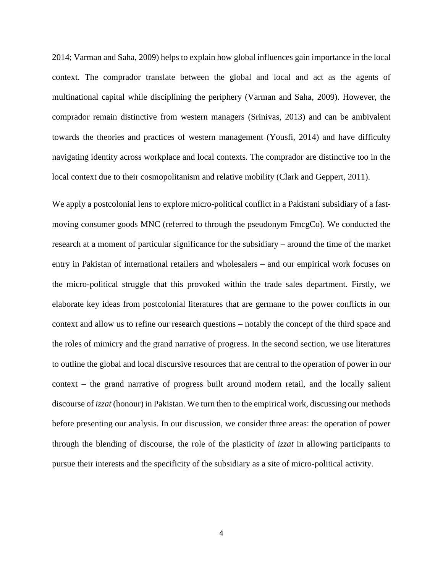2014; Varman and Saha, 2009) helps to explain how global influences gain importance in the local context. The comprador translate between the global and local and act as the agents of multinational capital while disciplining the periphery (Varman and Saha, 2009). However, the comprador remain distinctive from western managers (Srinivas, 2013) and can be ambivalent towards the theories and practices of western management (Yousfi, 2014) and have difficulty navigating identity across workplace and local contexts. The comprador are distinctive too in the local context due to their cosmopolitanism and relative mobility (Clark and Geppert, 2011).

We apply a postcolonial lens to explore micro-political conflict in a Pakistani subsidiary of a fastmoving consumer goods MNC (referred to through the pseudonym FmcgCo). We conducted the research at a moment of particular significance for the subsidiary – around the time of the market entry in Pakistan of international retailers and wholesalers – and our empirical work focuses on the micro-political struggle that this provoked within the trade sales department. Firstly, we elaborate key ideas from postcolonial literatures that are germane to the power conflicts in our context and allow us to refine our research questions – notably the concept of the third space and the roles of mimicry and the grand narrative of progress. In the second section, we use literatures to outline the global and local discursive resources that are central to the operation of power in our context – the grand narrative of progress built around modern retail, and the locally salient discourse of *izzat* (honour) in Pakistan. We turn then to the empirical work, discussing our methods before presenting our analysis. In our discussion, we consider three areas: the operation of power through the blending of discourse, the role of the plasticity of *izzat* in allowing participants to pursue their interests and the specificity of the subsidiary as a site of micro-political activity.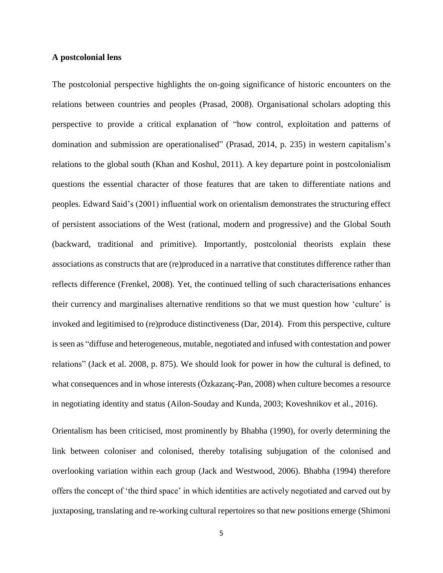#### **A postcolonial lens**

The postcolonial perspective highlights the on-going significance of historic encounters on the relations between countries and peoples (Prasad, 2008). Organisational scholars adopting this perspective to provide a critical explanation of "how control, exploitation and patterns of domination and submission are operationalised" (Prasad, 2014, p. 235) in western capitalism's relations to the global south (Khan and Koshul, 2011). A key departure point in postcolonialism questions the essential character of those features that are taken to differentiate nations and peoples. Edward Said's (2001) influential work on orientalism demonstrates the structuring effect of persistent associations of the West (rational, modern and progressive) and the Global South (backward, traditional and primitive). Importantly, postcolonial theorists explain these associations as constructs that are (re)produced in a narrative that constitutes difference rather than reflects difference (Frenkel, 2008). Yet, the continued telling of such characterisations enhances their currency and marginalises alternative renditions so that we must question how 'culture' is invoked and legitimised to (re)produce distinctiveness (Dar, 2014). From this perspective, culture is seen as "diffuse and heterogeneous, mutable, negotiated and infused with contestation and power relations" (Jack et al. 2008, p. 875). We should look for power in how the cultural is defined, to what consequences and in whose interests ( $Ozkazan\zeta-Pan$ , 2008) when culture becomes a resource in negotiating identity and status (Ailon-Souday and Kunda, 2003; Koveshnikov et al., 2016).

Orientalism has been criticised, most prominently by Bhabha (1990), for overly determining the link between coloniser and colonised, thereby totalising subjugation of the colonised and overlooking variation within each group (Jack and Westwood, 2006). Bhabha (1994) therefore offers the concept of 'the third space' in which identities are actively negotiated and carved out by juxtaposing, translating and re-working cultural repertoires so that new positions emerge (Shimoni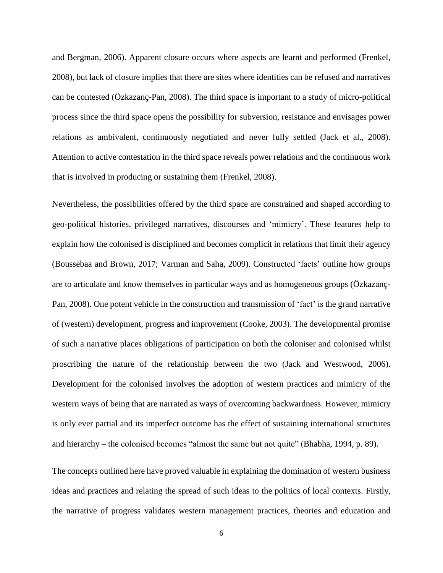and Bergman, 2006). Apparent closure occurs where aspects are learnt and performed (Frenkel, 2008), but lack of closure implies that there are sites where identities can be refused and narratives can be contested (Özkazanç-Pan, 2008). The third space is important to a study of micro-political process since the third space opens the possibility for subversion, resistance and envisages power relations as ambivalent, continuously negotiated and never fully settled (Jack et al., 2008). Attention to active contestation in the third space reveals power relations and the continuous work that is involved in producing or sustaining them (Frenkel, 2008).

Nevertheless, the possibilities offered by the third space are constrained and shaped according to geo-political histories, privileged narratives, discourses and 'mimicry'. These features help to explain how the colonised is disciplined and becomes complicit in relations that limit their agency (Boussebaa and Brown, 2017; Varman and Saha, 2009). Constructed 'facts' outline how groups are to articulate and know themselves in particular ways and as homogeneous groups (Özkazanç-Pan, 2008). One potent vehicle in the construction and transmission of 'fact' is the grand narrative of (western) development, progress and improvement (Cooke, 2003). The developmental promise of such a narrative places obligations of participation on both the coloniser and colonised whilst proscribing the nature of the relationship between the two (Jack and Westwood, 2006). Development for the colonised involves the adoption of western practices and mimicry of the western ways of being that are narrated as ways of overcoming backwardness. However, mimicry is only ever partial and its imperfect outcome has the effect of sustaining international structures and hierarchy – the colonised becomes "almost the same but not quite" (Bhabha, 1994, p. 89).

The concepts outlined here have proved valuable in explaining the domination of western business ideas and practices and relating the spread of such ideas to the politics of local contexts. Firstly, the narrative of progress validates western management practices, theories and education and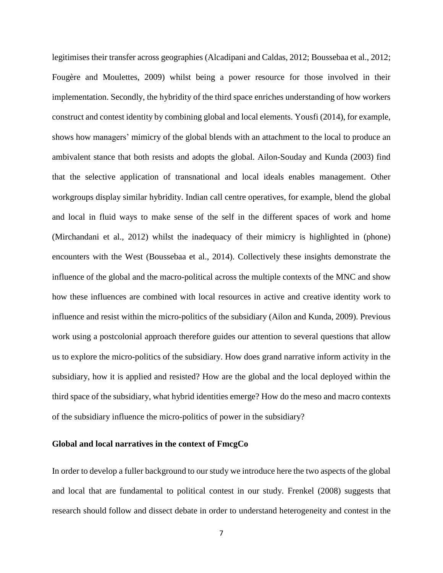legitimises their transfer across geographies (Alcadipani and Caldas, 2012; Boussebaa et al., 2012; Fougère and Moulettes, 2009) whilst being a power resource for those involved in their implementation. Secondly, the hybridity of the third space enriches understanding of how workers construct and contest identity by combining global and local elements. Yousfi (2014), for example, shows how managers' mimicry of the global blends with an attachment to the local to produce an ambivalent stance that both resists and adopts the global. Ailon-Souday and Kunda (2003) find that the selective application of transnational and local ideals enables management. Other workgroups display similar hybridity. Indian call centre operatives, for example, blend the global and local in fluid ways to make sense of the self in the different spaces of work and home (Mirchandani et al., 2012) whilst the inadequacy of their mimicry is highlighted in (phone) encounters with the West (Boussebaa et al., 2014). Collectively these insights demonstrate the influence of the global and the macro-political across the multiple contexts of the MNC and show how these influences are combined with local resources in active and creative identity work to influence and resist within the micro-politics of the subsidiary (Ailon and Kunda, 2009). Previous work using a postcolonial approach therefore guides our attention to several questions that allow us to explore the micro-politics of the subsidiary. How does grand narrative inform activity in the subsidiary, how it is applied and resisted? How are the global and the local deployed within the third space of the subsidiary, what hybrid identities emerge? How do the meso and macro contexts of the subsidiary influence the micro-politics of power in the subsidiary?

### **Global and local narratives in the context of FmcgCo**

In order to develop a fuller background to our study we introduce here the two aspects of the global and local that are fundamental to political contest in our study. Frenkel (2008) suggests that research should follow and dissect debate in order to understand heterogeneity and contest in the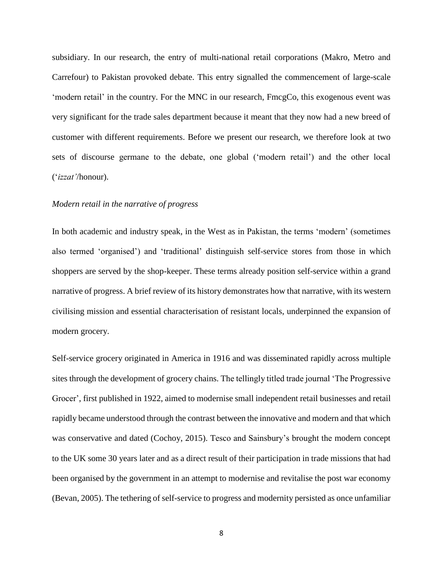subsidiary. In our research, the entry of multi-national retail corporations (Makro, Metro and Carrefour) to Pakistan provoked debate. This entry signalled the commencement of large-scale 'modern retail' in the country. For the MNC in our research, FmcgCo, this exogenous event was very significant for the trade sales department because it meant that they now had a new breed of customer with different requirements. Before we present our research, we therefore look at two sets of discourse germane to the debate, one global ('modern retail') and the other local ('*izzat'*/honour).

## *Modern retail in the narrative of progress*

In both academic and industry speak, in the West as in Pakistan, the terms 'modern' (sometimes also termed 'organised') and 'traditional' distinguish self-service stores from those in which shoppers are served by the shop-keeper. These terms already position self-service within a grand narrative of progress. A brief review of its history demonstrates how that narrative, with its western civilising mission and essential characterisation of resistant locals, underpinned the expansion of modern grocery.

Self-service grocery originated in America in 1916 and was disseminated rapidly across multiple sites through the development of grocery chains. The tellingly titled trade journal 'The Progressive Grocer', first published in 1922, aimed to modernise small independent retail businesses and retail rapidly became understood through the contrast between the innovative and modern and that which was conservative and dated (Cochoy, 2015). Tesco and Sainsbury's brought the modern concept to the UK some 30 years later and as a direct result of their participation in trade missions that had been organised by the government in an attempt to modernise and revitalise the post war economy (Bevan, 2005). The tethering of self-service to progress and modernity persisted as once unfamiliar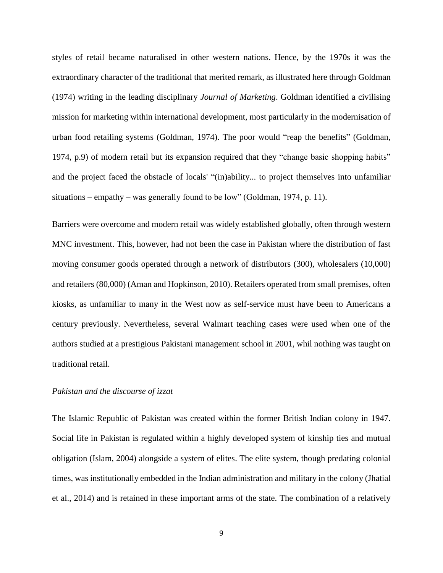styles of retail became naturalised in other western nations. Hence, by the 1970s it was the extraordinary character of the traditional that merited remark, as illustrated here through Goldman (1974) writing in the leading disciplinary *Journal of Marketing*. Goldman identified a civilising mission for marketing within international development, most particularly in the modernisation of urban food retailing systems (Goldman, 1974). The poor would "reap the benefits" (Goldman, 1974, p.9) of modern retail but its expansion required that they "change basic shopping habits" and the project faced the obstacle of locals' "(in)ability... to project themselves into unfamiliar situations – empathy – was generally found to be low" (Goldman, 1974, p. 11).

Barriers were overcome and modern retail was widely established globally, often through western MNC investment. This, however, had not been the case in Pakistan where the distribution of fast moving consumer goods operated through a network of distributors (300), wholesalers (10,000) and retailers (80,000) (Aman and Hopkinson, 2010). Retailers operated from small premises, often kiosks, as unfamiliar to many in the West now as self-service must have been to Americans a century previously. Nevertheless, several Walmart teaching cases were used when one of the authors studied at a prestigious Pakistani management school in 2001, whil nothing was taught on traditional retail.

## *Pakistan and the discourse of izzat*

The Islamic Republic of Pakistan was created within the former British Indian colony in 1947. Social life in Pakistan is regulated within a highly developed system of kinship ties and mutual obligation (Islam, 2004) alongside a system of elites. The elite system, though predating colonial times, was institutionally embedded in the Indian administration and military in the colony (Jhatial et al., 2014) and is retained in these important arms of the state. The combination of a relatively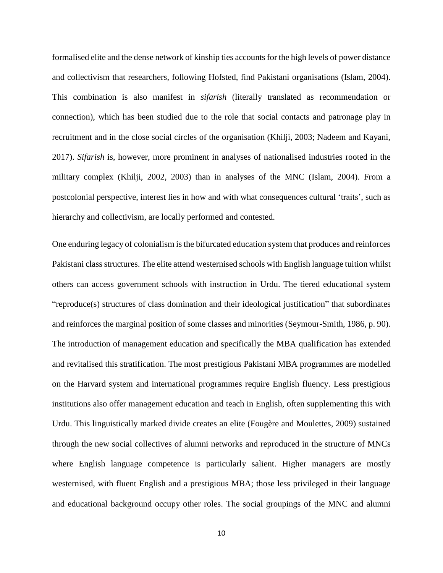formalised elite and the dense network of kinship ties accounts for the high levels of power distance and collectivism that researchers, following Hofsted, find Pakistani organisations (Islam, 2004). This combination is also manifest in *sifarish* (literally translated as recommendation or connection), which has been studied due to the role that social contacts and patronage play in recruitment and in the close social circles of the organisation (Khilji, 2003; Nadeem and Kayani, 2017). *Sifarish* is, however, more prominent in analyses of nationalised industries rooted in the military complex (Khilji, 2002, 2003) than in analyses of the MNC (Islam, 2004). From a postcolonial perspective, interest lies in how and with what consequences cultural 'traits', such as hierarchy and collectivism, are locally performed and contested.

One enduring legacy of colonialism is the bifurcated education system that produces and reinforces Pakistani class structures. The elite attend westernised schools with English language tuition whilst others can access government schools with instruction in Urdu. The tiered educational system "reproduce(s) structures of class domination and their ideological justification" that subordinates and reinforces the marginal position of some classes and minorities (Seymour-Smith, 1986, p. 90). The introduction of management education and specifically the MBA qualification has extended and revitalised this stratification. The most prestigious Pakistani MBA programmes are modelled on the Harvard system and international programmes require English fluency. Less prestigious institutions also offer management education and teach in English, often supplementing this with Urdu. This linguistically marked divide creates an elite (Fougère and Moulettes, 2009) sustained through the new social collectives of alumni networks and reproduced in the structure of MNCs where English language competence is particularly salient. Higher managers are mostly westernised, with fluent English and a prestigious MBA; those less privileged in their language and educational background occupy other roles. The social groupings of the MNC and alumni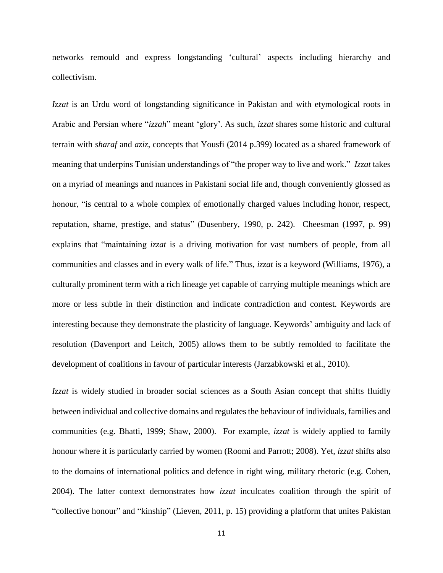networks remould and express longstanding 'cultural' aspects including hierarchy and collectivism.

*Izzat* is an Urdu word of longstanding significance in Pakistan and with etymological roots in Arabic and Persian where "*izzah*" meant 'glory'. As such, *izzat* shares some historic and cultural terrain with *sharaf* and *aziz,* concepts that Yousfi (2014 p.399) located as a shared framework of meaning that underpins Tunisian understandings of "the proper way to live and work." *Izzat* takes on a myriad of meanings and nuances in Pakistani social life and, though conveniently glossed as honour, "is central to a whole complex of emotionally charged values including honor, respect, reputation, shame, prestige, and status" (Dusenbery, 1990, p. 242). Cheesman (1997, p. 99) explains that "maintaining *izzat* is a driving motivation for vast numbers of people, from all communities and classes and in every walk of life." Thus, *izzat* is a keyword (Williams, 1976), a culturally prominent term with a rich lineage yet capable of carrying multiple meanings which are more or less subtle in their distinction and indicate contradiction and contest. Keywords are interesting because they demonstrate the plasticity of language. Keywords' ambiguity and lack of resolution (Davenport and Leitch, 2005) allows them to be subtly remolded to facilitate the development of coalitions in favour of particular interests (Jarzabkowski et al., 2010).

*Izzat* is widely studied in broader social sciences as a South Asian concept that shifts fluidly between individual and collective domains and regulates the behaviour of individuals, families and communities (e.g. Bhatti, 1999; Shaw, 2000). For example, *izzat* is widely applied to family honour where it is particularly carried by women (Roomi and Parrott; 2008). Yet, *izzat* shifts also to the domains of international politics and defence in right wing, military rhetoric (e.g. Cohen, 2004). The latter context demonstrates how *izzat* inculcates coalition through the spirit of "collective honour" and "kinship" (Lieven, 2011, p. 15) providing a platform that unites Pakistan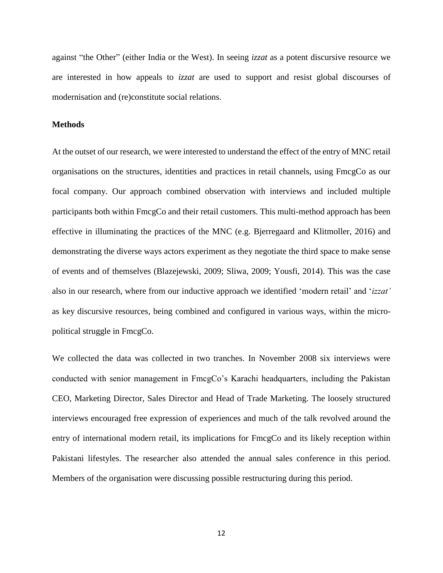against "the Other" (either India or the West). In seeing *izzat* as a potent discursive resource we are interested in how appeals to *izzat* are used to support and resist global discourses of modernisation and (re)constitute social relations.

### **Methods**

At the outset of our research, we were interested to understand the effect of the entry of MNC retail organisations on the structures, identities and practices in retail channels, using FmcgCo as our focal company. Our approach combined observation with interviews and included multiple participants both within FmcgCo and their retail customers. This multi-method approach has been effective in illuminating the practices of the MNC (e.g. Bjerregaard and Klitmoller, 2016) and demonstrating the diverse ways actors experiment as they negotiate the third space to make sense of events and of themselves (Blazejewski, 2009; Sliwa, 2009; Yousfi, 2014). This was the case also in our research, where from our inductive approach we identified 'modern retail' and '*izzat'* as key discursive resources, being combined and configured in various ways, within the micropolitical struggle in FmcgCo.

We collected the data was collected in two tranches. In November 2008 six interviews were conducted with senior management in FmcgCo's Karachi headquarters, including the Pakistan CEO, Marketing Director, Sales Director and Head of Trade Marketing. The loosely structured interviews encouraged free expression of experiences and much of the talk revolved around the entry of international modern retail, its implications for FmcgCo and its likely reception within Pakistani lifestyles. The researcher also attended the annual sales conference in this period. Members of the organisation were discussing possible restructuring during this period.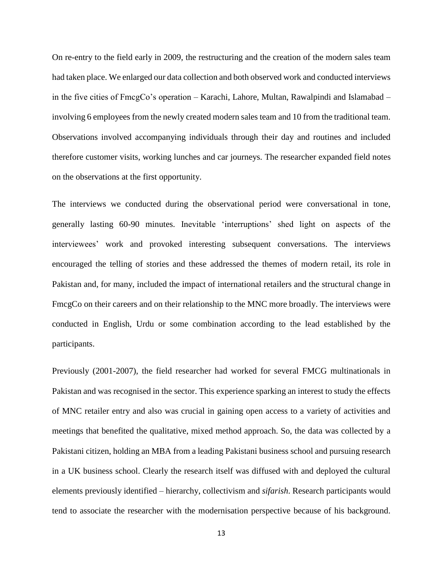On re-entry to the field early in 2009, the restructuring and the creation of the modern sales team had taken place. We enlarged our data collection and both observed work and conducted interviews in the five cities of FmcgCo's operation – Karachi, Lahore, Multan, Rawalpindi and Islamabad – involving 6 employees from the newly created modern sales team and 10 from the traditional team. Observations involved accompanying individuals through their day and routines and included therefore customer visits, working lunches and car journeys. The researcher expanded field notes on the observations at the first opportunity.

The interviews we conducted during the observational period were conversational in tone, generally lasting 60-90 minutes. Inevitable 'interruptions' shed light on aspects of the interviewees' work and provoked interesting subsequent conversations. The interviews encouraged the telling of stories and these addressed the themes of modern retail, its role in Pakistan and, for many, included the impact of international retailers and the structural change in FmcgCo on their careers and on their relationship to the MNC more broadly. The interviews were conducted in English, Urdu or some combination according to the lead established by the participants.

Previously (2001-2007), the field researcher had worked for several FMCG multinationals in Pakistan and was recognised in the sector. This experience sparking an interest to study the effects of MNC retailer entry and also was crucial in gaining open access to a variety of activities and meetings that benefited the qualitative, mixed method approach. So, the data was collected by a Pakistani citizen, holding an MBA from a leading Pakistani business school and pursuing research in a UK business school. Clearly the research itself was diffused with and deployed the cultural elements previously identified – hierarchy, collectivism and *sifarish*. Research participants would tend to associate the researcher with the modernisation perspective because of his background.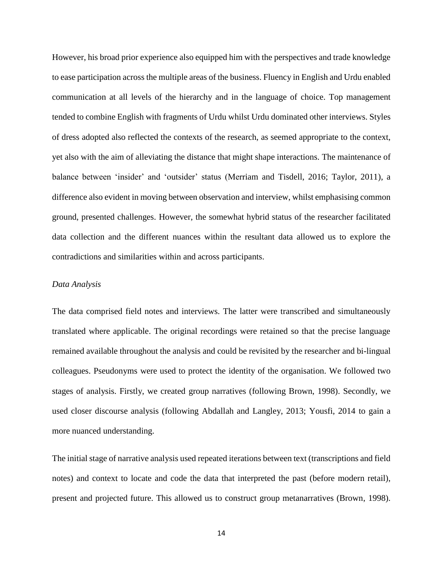However, his broad prior experience also equipped him with the perspectives and trade knowledge to ease participation across the multiple areas of the business. Fluency in English and Urdu enabled communication at all levels of the hierarchy and in the language of choice. Top management tended to combine English with fragments of Urdu whilst Urdu dominated other interviews. Styles of dress adopted also reflected the contexts of the research, as seemed appropriate to the context, yet also with the aim of alleviating the distance that might shape interactions. The maintenance of balance between 'insider' and 'outsider' status (Merriam and Tisdell, 2016; Taylor, 2011), a difference also evident in moving between observation and interview, whilst emphasising common ground, presented challenges. However, the somewhat hybrid status of the researcher facilitated data collection and the different nuances within the resultant data allowed us to explore the contradictions and similarities within and across participants.

#### *Data Analysis*

The data comprised field notes and interviews. The latter were transcribed and simultaneously translated where applicable. The original recordings were retained so that the precise language remained available throughout the analysis and could be revisited by the researcher and bi-lingual colleagues. Pseudonyms were used to protect the identity of the organisation. We followed two stages of analysis. Firstly, we created group narratives (following Brown, 1998). Secondly, we used closer discourse analysis (following Abdallah and Langley, 2013; Yousfi, 2014 to gain a more nuanced understanding.

The initial stage of narrative analysis used repeated iterations between text (transcriptions and field notes) and context to locate and code the data that interpreted the past (before modern retail), present and projected future. This allowed us to construct group metanarratives (Brown, 1998).

14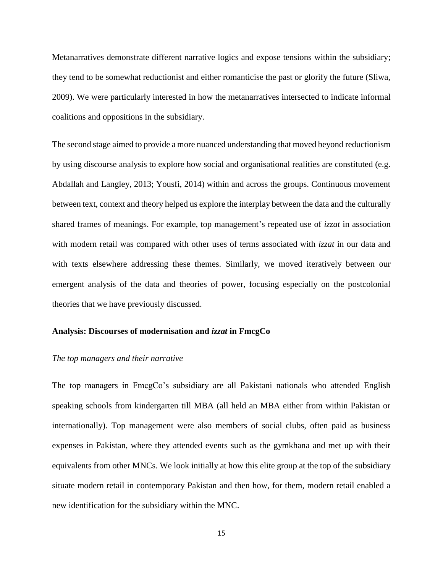Metanarratives demonstrate different narrative logics and expose tensions within the subsidiary; they tend to be somewhat reductionist and either romanticise the past or glorify the future (Sliwa, 2009). We were particularly interested in how the metanarratives intersected to indicate informal coalitions and oppositions in the subsidiary.

The second stage aimed to provide a more nuanced understanding that moved beyond reductionism by using discourse analysis to explore how social and organisational realities are constituted (e.g. Abdallah and Langley, 2013; Yousfi, 2014) within and across the groups. Continuous movement between text, context and theory helped us explore the interplay between the data and the culturally shared frames of meanings. For example, top management's repeated use of *izzat* in association with modern retail was compared with other uses of terms associated with *izzat* in our data and with texts elsewhere addressing these themes. Similarly, we moved iteratively between our emergent analysis of the data and theories of power, focusing especially on the postcolonial theories that we have previously discussed.

## **Analysis: Discourses of modernisation and** *izzat* **in FmcgCo**

### *The top managers and their narrative*

The top managers in FmcgCo's subsidiary are all Pakistani nationals who attended English speaking schools from kindergarten till MBA (all held an MBA either from within Pakistan or internationally). Top management were also members of social clubs, often paid as business expenses in Pakistan, where they attended events such as the gymkhana and met up with their equivalents from other MNCs. We look initially at how this elite group at the top of the subsidiary situate modern retail in contemporary Pakistan and then how, for them, modern retail enabled a new identification for the subsidiary within the MNC.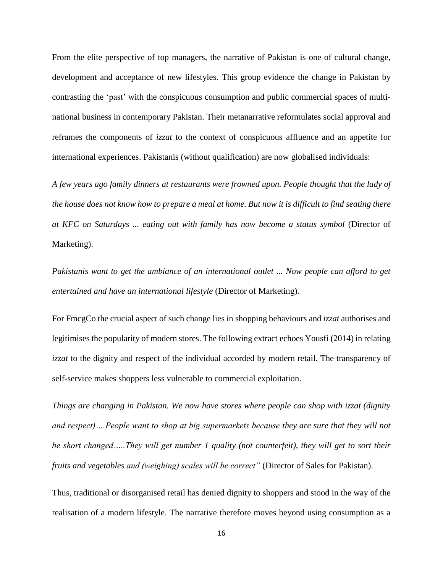From the elite perspective of top managers, the narrative of Pakistan is one of cultural change, development and acceptance of new lifestyles. This group evidence the change in Pakistan by contrasting the 'past' with the conspicuous consumption and public commercial spaces of multinational business in contemporary Pakistan. Their metanarrative reformulates social approval and reframes the components of *izzat* to the context of conspicuous affluence and an appetite for international experiences. Pakistanis (without qualification) are now globalised individuals:

*A few years ago family dinners at restaurants were frowned upon. People thought that the lady of the house does not know how to prepare a meal at home. But now it is difficult to find seating there at KFC on Saturdays ... eating out with family has now become a status symbol* (Director of Marketing).

*Pakistanis want to get the ambiance of an international outlet ... Now people can afford to get entertained and have an international lifestyle* (Director of Marketing)*.* 

For FmcgCo the crucial aspect of such change lies in shopping behaviours and *izzat* authorises and legitimises the popularity of modern stores. The following extract echoes Yousfi (2014) in relating *izzat* to the dignity and respect of the individual accorded by modern retail. The transparency of self-service makes shoppers less vulnerable to commercial exploitation.

*Things are changing in Pakistan. We now have stores where people can shop with izzat (dignity and respect)….People want to shop at big supermarkets because they are sure that they will not be short changed…..They will get number 1 quality (not counterfeit), they will get to sort their fruits and vegetables and (weighing) scales will be correct"* (Director of Sales for Pakistan).

Thus, traditional or disorganised retail has denied dignity to shoppers and stood in the way of the realisation of a modern lifestyle. The narrative therefore moves beyond using consumption as a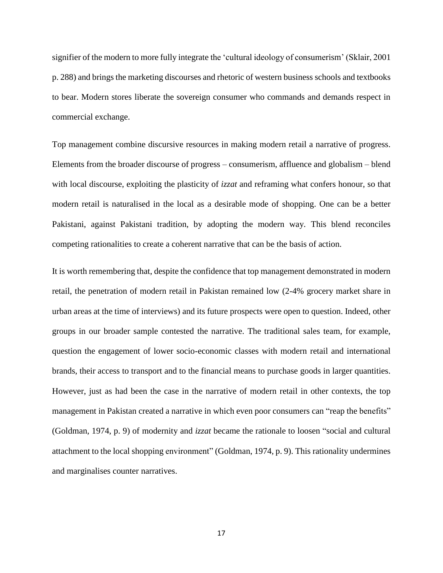signifier of the modern to more fully integrate the 'cultural ideology of consumerism' (Sklair, 2001 p. 288) and brings the marketing discourses and rhetoric of western business schools and textbooks to bear. Modern stores liberate the sovereign consumer who commands and demands respect in commercial exchange.

Top management combine discursive resources in making modern retail a narrative of progress. Elements from the broader discourse of progress – consumerism, affluence and globalism – blend with local discourse, exploiting the plasticity of *izzat* and reframing what confers honour, so that modern retail is naturalised in the local as a desirable mode of shopping. One can be a better Pakistani, against Pakistani tradition, by adopting the modern way. This blend reconciles competing rationalities to create a coherent narrative that can be the basis of action.

It is worth remembering that, despite the confidence that top management demonstrated in modern retail, the penetration of modern retail in Pakistan remained low (2-4% grocery market share in urban areas at the time of interviews) and its future prospects were open to question. Indeed, other groups in our broader sample contested the narrative. The traditional sales team, for example, question the engagement of lower socio-economic classes with modern retail and international brands, their access to transport and to the financial means to purchase goods in larger quantities. However, just as had been the case in the narrative of modern retail in other contexts, the top management in Pakistan created a narrative in which even poor consumers can "reap the benefits" (Goldman, 1974, p. 9) of modernity and *izzat* became the rationale to loosen "social and cultural attachment to the local shopping environment" (Goldman, 1974, p. 9). This rationality undermines and marginalises counter narratives.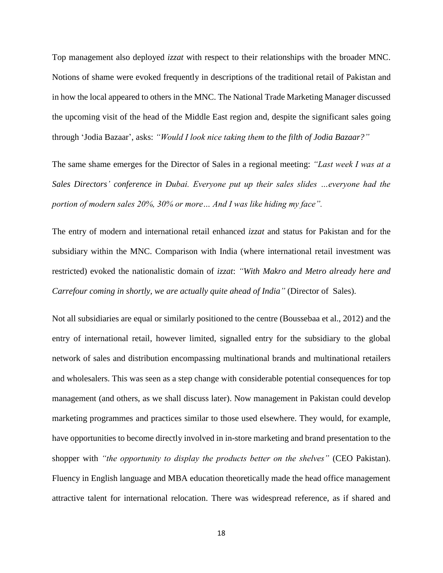Top management also deployed *izzat* with respect to their relationships with the broader MNC. Notions of shame were evoked frequently in descriptions of the traditional retail of Pakistan and in how the local appeared to others in the MNC. The National Trade Marketing Manager discussed the upcoming visit of the head of the Middle East region and, despite the significant sales going through 'Jodia Bazaar', asks: *"Would I look nice taking them to the filth of Jodia Bazaar?"*

The same shame emerges for the Director of Sales in a regional meeting: *"Last week I was at a Sales Directors' conference in Dubai. Everyone put up their sales slides …everyone had the portion of modern sales 20%, 30% or more… And I was like hiding my face".*

The entry of modern and international retail enhanced *izzat* and status for Pakistan and for the subsidiary within the MNC. Comparison with India (where international retail investment was restricted) evoked the nationalistic domain of *izzat*: *"With Makro and Metro already here and Carrefour coming in shortly, we are actually quite ahead of India"* (Director of Sales).

Not all subsidiaries are equal or similarly positioned to the centre (Boussebaa et al., 2012) and the entry of international retail, however limited, signalled entry for the subsidiary to the global network of sales and distribution encompassing multinational brands and multinational retailers and wholesalers. This was seen as a step change with considerable potential consequences for top management (and others, as we shall discuss later). Now management in Pakistan could develop marketing programmes and practices similar to those used elsewhere. They would, for example, have opportunities to become directly involved in in-store marketing and brand presentation to the shopper with *"the opportunity to display the products better on the shelves"* (CEO Pakistan). Fluency in English language and MBA education theoretically made the head office management attractive talent for international relocation. There was widespread reference, as if shared and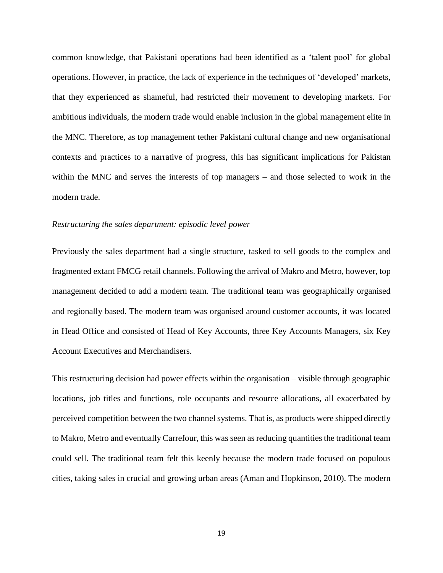common knowledge, that Pakistani operations had been identified as a 'talent pool' for global operations. However, in practice, the lack of experience in the techniques of 'developed' markets, that they experienced as shameful, had restricted their movement to developing markets. For ambitious individuals, the modern trade would enable inclusion in the global management elite in the MNC. Therefore, as top management tether Pakistani cultural change and new organisational contexts and practices to a narrative of progress, this has significant implications for Pakistan within the MNC and serves the interests of top managers – and those selected to work in the modern trade.

## *Restructuring the sales department: episodic level power*

Previously the sales department had a single structure, tasked to sell goods to the complex and fragmented extant FMCG retail channels. Following the arrival of Makro and Metro, however, top management decided to add a modern team. The traditional team was geographically organised and regionally based. The modern team was organised around customer accounts, it was located in Head Office and consisted of Head of Key Accounts, three Key Accounts Managers, six Key Account Executives and Merchandisers.

This restructuring decision had power effects within the organisation – visible through geographic locations, job titles and functions, role occupants and resource allocations, all exacerbated by perceived competition between the two channel systems. That is, as products were shipped directly to Makro, Metro and eventually Carrefour, this was seen as reducing quantities the traditional team could sell. The traditional team felt this keenly because the modern trade focused on populous cities, taking sales in crucial and growing urban areas (Aman and Hopkinson, 2010). The modern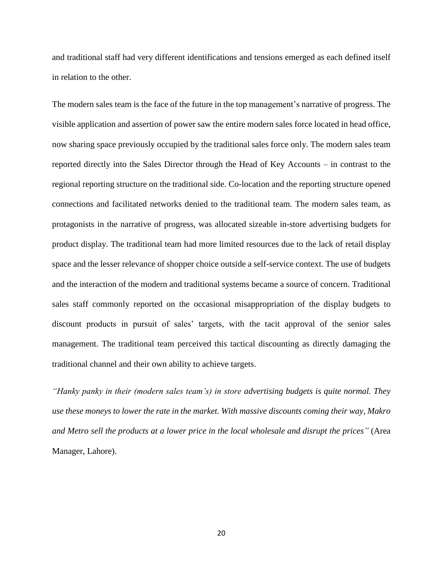and traditional staff had very different identifications and tensions emerged as each defined itself in relation to the other.

The modern sales team is the face of the future in the top management's narrative of progress. The visible application and assertion of power saw the entire modern sales force located in head office, now sharing space previously occupied by the traditional sales force only. The modern sales team reported directly into the Sales Director through the Head of Key Accounts – in contrast to the regional reporting structure on the traditional side. Co-location and the reporting structure opened connections and facilitated networks denied to the traditional team. The modern sales team, as protagonists in the narrative of progress, was allocated sizeable in-store advertising budgets for product display. The traditional team had more limited resources due to the lack of retail display space and the lesser relevance of shopper choice outside a self-service context. The use of budgets and the interaction of the modern and traditional systems became a source of concern. Traditional sales staff commonly reported on the occasional misappropriation of the display budgets to discount products in pursuit of sales' targets, with the tacit approval of the senior sales management. The traditional team perceived this tactical discounting as directly damaging the traditional channel and their own ability to achieve targets.

*"Hanky panky in their (modern sales team's) in store advertising budgets is quite normal. They use these moneys to lower the rate in the market. With massive discounts coming their way, Makro and Metro sell the products at a lower price in the local wholesale and disrupt the prices"* (Area Manager, Lahore).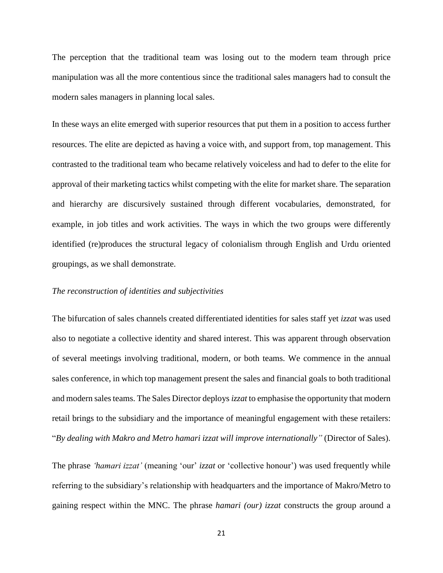The perception that the traditional team was losing out to the modern team through price manipulation was all the more contentious since the traditional sales managers had to consult the modern sales managers in planning local sales.

In these ways an elite emerged with superior resources that put them in a position to access further resources. The elite are depicted as having a voice with, and support from, top management. This contrasted to the traditional team who became relatively voiceless and had to defer to the elite for approval of their marketing tactics whilst competing with the elite for market share. The separation and hierarchy are discursively sustained through different vocabularies, demonstrated, for example, in job titles and work activities. The ways in which the two groups were differently identified (re)produces the structural legacy of colonialism through English and Urdu oriented groupings, as we shall demonstrate.

### *The reconstruction of identities and subjectivities*

The bifurcation of sales channels created differentiated identities for sales staff yet *izzat* was used also to negotiate a collective identity and shared interest. This was apparent through observation of several meetings involving traditional, modern, or both teams. We commence in the annual sales conference, in which top management present the sales and financial goals to both traditional and modern sales teams. The Sales Director deploys *izzat* to emphasise the opportunity that modern retail brings to the subsidiary and the importance of meaningful engagement with these retailers: "*By dealing with Makro and Metro hamari izzat will improve internationally"* (Director of Sales).

The phrase *'hamari izzat'* (meaning 'our' *izzat* or 'collective honour') was used frequently while referring to the subsidiary's relationship with headquarters and the importance of Makro/Metro to gaining respect within the MNC. The phrase *hamari (our) izzat* constructs the group around a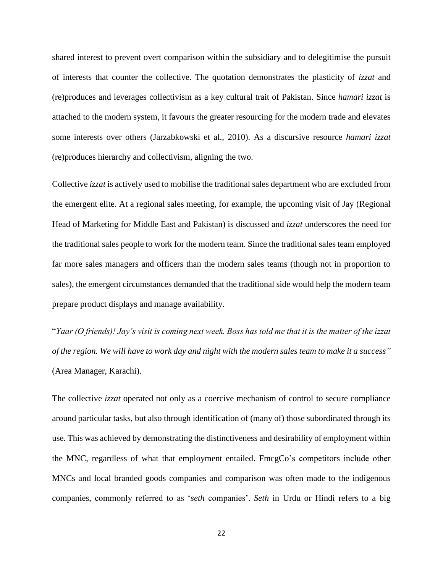shared interest to prevent overt comparison within the subsidiary and to delegitimise the pursuit of interests that counter the collective. The quotation demonstrates the plasticity of *izzat* and (re)produces and leverages collectivism as a key cultural trait of Pakistan. Since *hamari izzat* is attached to the modern system, it favours the greater resourcing for the modern trade and elevates some interests over others (Jarzabkowski et al., 2010). As a discursive resource *hamari izzat* (re)produces hierarchy and collectivism, aligning the two.

Collective *izzat* is actively used to mobilise the traditional sales department who are excluded from the emergent elite. At a regional sales meeting, for example, the upcoming visit of Jay (Regional Head of Marketing for Middle East and Pakistan) is discussed and *izzat* underscores the need for the traditional sales people to work for the modern team. Since the traditional sales team employed far more sales managers and officers than the modern sales teams (though not in proportion to sales), the emergent circumstances demanded that the traditional side would help the modern team prepare product displays and manage availability.

"*Yaar (O friends)! Jay's visit is coming next week. Boss has told me that it is the matter of the izzat of the region. We will have to work day and night with the modern sales team to make it a success"* (Area Manager, Karachi).

The collective *izzat* operated not only as a coercive mechanism of control to secure compliance around particular tasks, but also through identification of (many of) those subordinated through its use. This was achieved by demonstrating the distinctiveness and desirability of employment within the MNC, regardless of what that employment entailed. FmcgCo's competitors include other MNCs and local branded goods companies and comparison was often made to the indigenous companies, commonly referred to as '*seth* companies'. *Seth* in Urdu or Hindi refers to a big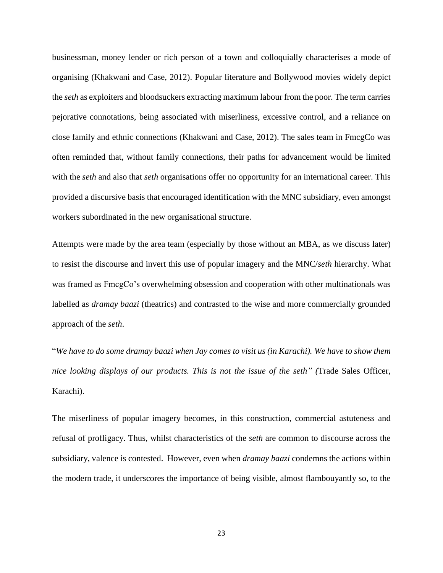businessman, money lender or rich person of a town and colloquially characterises a mode of organising (Khakwani and Case, 2012). Popular literature and Bollywood movies widely depict the *seth* as exploiters and bloodsuckers extracting maximum labour from the poor. The term carries pejorative connotations, being associated with miserliness, excessive control, and a reliance on close family and ethnic connections (Khakwani and Case, 2012). The sales team in FmcgCo was often reminded that, without family connections, their paths for advancement would be limited with the *seth* and also that *seth* organisations offer no opportunity for an international career. This provided a discursive basis that encouraged identification with the MNC subsidiary, even amongst workers subordinated in the new organisational structure.

Attempts were made by the area team (especially by those without an MBA, as we discuss later) to resist the discourse and invert this use of popular imagery and the MNC/*seth* hierarchy. What was framed as FmcgCo's overwhelming obsession and cooperation with other multinationals was labelled as *dramay baazi* (theatrics) and contrasted to the wise and more commercially grounded approach of the *seth*.

"*We have to do some dramay baazi when Jay comes to visit us (in Karachi). We have to show them nice looking displays of our products. This is not the issue of the seth" (*Trade Sales Officer, Karachi).

The miserliness of popular imagery becomes, in this construction, commercial astuteness and refusal of profligacy. Thus, whilst characteristics of the *seth* are common to discourse across the subsidiary, valence is contested. However, even when *dramay baazi* condemns the actions within the modern trade, it underscores the importance of being visible, almost flambouyantly so, to the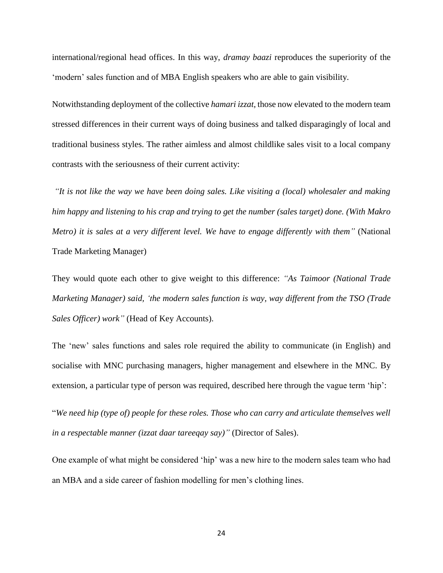international/regional head offices. In this way, *dramay baazi* reproduces the superiority of the 'modern' sales function and of MBA English speakers who are able to gain visibility.

Notwithstanding deployment of the collective *hamari izzat*, those now elevated to the modern team stressed differences in their current ways of doing business and talked disparagingly of local and traditional business styles. The rather aimless and almost childlike sales visit to a local company contrasts with the seriousness of their current activity:

*"It is not like the way we have been doing sales. Like visiting a (local) wholesaler and making him happy and listening to his crap and trying to get the number (sales target) done. (With Makro Metro) it is sales at a very different level. We have to engage differently with them"* (National Trade Marketing Manager)

They would quote each other to give weight to this difference: *"As Taimoor (National Trade Marketing Manager) said, 'the modern sales function is way, way different from the TSO (Trade Sales Officer) work"* (Head of Key Accounts).

The 'new' sales functions and sales role required the ability to communicate (in English) and socialise with MNC purchasing managers, higher management and elsewhere in the MNC. By extension, a particular type of person was required, described here through the vague term 'hip':

"*We need hip (type of) people for these roles. Those who can carry and articulate themselves well in a respectable manner (izzat daar tareeqay say)"* (Director of Sales).

One example of what might be considered 'hip' was a new hire to the modern sales team who had an MBA and a side career of fashion modelling for men's clothing lines.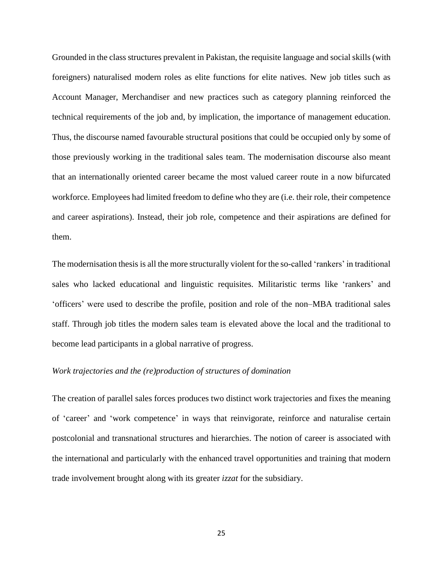Grounded in the class structures prevalent in Pakistan, the requisite language and social skills (with foreigners) naturalised modern roles as elite functions for elite natives. New job titles such as Account Manager, Merchandiser and new practices such as category planning reinforced the technical requirements of the job and, by implication, the importance of management education. Thus, the discourse named favourable structural positions that could be occupied only by some of those previously working in the traditional sales team. The modernisation discourse also meant that an internationally oriented career became the most valued career route in a now bifurcated workforce. Employees had limited freedom to define who they are (i.e. their role, their competence and career aspirations). Instead, their job role, competence and their aspirations are defined for them.

The modernisation thesis is all the more structurally violent for the so-called 'rankers' in traditional sales who lacked educational and linguistic requisites. Militaristic terms like 'rankers' and 'officers' were used to describe the profile, position and role of the non–MBA traditional sales staff. Through job titles the modern sales team is elevated above the local and the traditional to become lead participants in a global narrative of progress.

## *Work trajectories and the (re)production of structures of domination*

The creation of parallel sales forces produces two distinct work trajectories and fixes the meaning of 'career' and 'work competence' in ways that reinvigorate, reinforce and naturalise certain postcolonial and transnational structures and hierarchies. The notion of career is associated with the international and particularly with the enhanced travel opportunities and training that modern trade involvement brought along with its greater *izzat* for the subsidiary.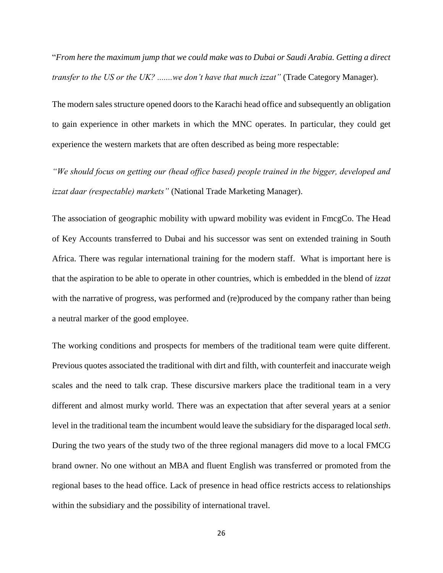"*From here the maximum jump that we could make was to Dubai or Saudi Arabia. Getting a direct transfer to the US or the UK?* .......*we don't have that much izzat*" (Trade Category Manager).

The modern sales structure opened doors to the Karachi head office and subsequently an obligation to gain experience in other markets in which the MNC operates. In particular, they could get experience the western markets that are often described as being more respectable:

*"We should focus on getting our (head office based) people trained in the bigger, developed and izzat daar (respectable) markets"* (National Trade Marketing Manager).

The association of geographic mobility with upward mobility was evident in FmcgCo. The Head of Key Accounts transferred to Dubai and his successor was sent on extended training in South Africa. There was regular international training for the modern staff. What is important here is that the aspiration to be able to operate in other countries, which is embedded in the blend of *izzat* with the narrative of progress, was performed and (re)produced by the company rather than being a neutral marker of the good employee.

The working conditions and prospects for members of the traditional team were quite different. Previous quotes associated the traditional with dirt and filth, with counterfeit and inaccurate weigh scales and the need to talk crap. These discursive markers place the traditional team in a very different and almost murky world. There was an expectation that after several years at a senior level in the traditional team the incumbent would leave the subsidiary for the disparaged local *seth*. During the two years of the study two of the three regional managers did move to a local FMCG brand owner. No one without an MBA and fluent English was transferred or promoted from the regional bases to the head office. Lack of presence in head office restricts access to relationships within the subsidiary and the possibility of international travel.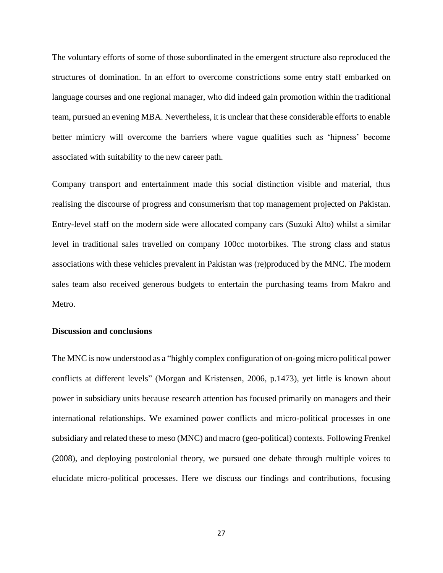The voluntary efforts of some of those subordinated in the emergent structure also reproduced the structures of domination. In an effort to overcome constrictions some entry staff embarked on language courses and one regional manager, who did indeed gain promotion within the traditional team, pursued an evening MBA. Nevertheless, it is unclear that these considerable efforts to enable better mimicry will overcome the barriers where vague qualities such as 'hipness' become associated with suitability to the new career path.

Company transport and entertainment made this social distinction visible and material, thus realising the discourse of progress and consumerism that top management projected on Pakistan. Entry-level staff on the modern side were allocated company cars (Suzuki Alto) whilst a similar level in traditional sales travelled on company 100cc motorbikes. The strong class and status associations with these vehicles prevalent in Pakistan was (re)produced by the MNC. The modern sales team also received generous budgets to entertain the purchasing teams from Makro and Metro.

## **Discussion and conclusions**

The MNC is now understood as a "highly complex configuration of on-going micro political power conflicts at different levels" (Morgan and Kristensen, 2006, p.1473), yet little is known about power in subsidiary units because research attention has focused primarily on managers and their international relationships. We examined power conflicts and micro-political processes in one subsidiary and related these to meso (MNC) and macro (geo-political) contexts. Following Frenkel (2008), and deploying postcolonial theory, we pursued one debate through multiple voices to elucidate micro-political processes. Here we discuss our findings and contributions, focusing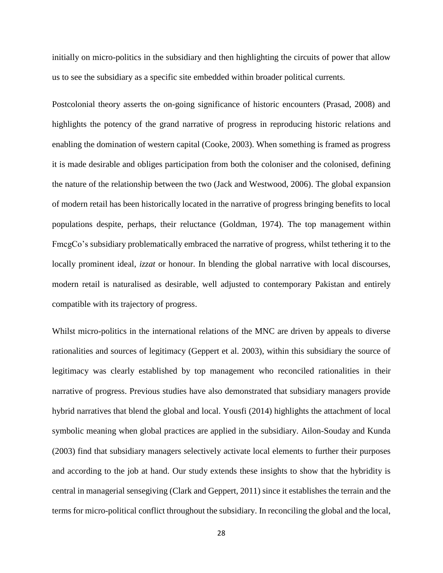initially on micro-politics in the subsidiary and then highlighting the circuits of power that allow us to see the subsidiary as a specific site embedded within broader political currents.

Postcolonial theory asserts the on-going significance of historic encounters (Prasad, 2008) and highlights the potency of the grand narrative of progress in reproducing historic relations and enabling the domination of western capital (Cooke, 2003). When something is framed as progress it is made desirable and obliges participation from both the coloniser and the colonised, defining the nature of the relationship between the two (Jack and Westwood, 2006). The global expansion of modern retail has been historically located in the narrative of progress bringing benefits to local populations despite, perhaps, their reluctance (Goldman, 1974). The top management within FmcgCo's subsidiary problematically embraced the narrative of progress, whilst tethering it to the locally prominent ideal, *izzat* or honour. In blending the global narrative with local discourses, modern retail is naturalised as desirable, well adjusted to contemporary Pakistan and entirely compatible with its trajectory of progress.

Whilst micro-politics in the international relations of the MNC are driven by appeals to diverse rationalities and sources of legitimacy (Geppert et al. 2003), within this subsidiary the source of legitimacy was clearly established by top management who reconciled rationalities in their narrative of progress. Previous studies have also demonstrated that subsidiary managers provide hybrid narratives that blend the global and local. Yousfi (2014) highlights the attachment of local symbolic meaning when global practices are applied in the subsidiary. Ailon-Souday and Kunda (2003) find that subsidiary managers selectively activate local elements to further their purposes and according to the job at hand. Our study extends these insights to show that the hybridity is central in managerial sensegiving (Clark and Geppert, 2011) since it establishes the terrain and the terms for micro-political conflict throughout the subsidiary. In reconciling the global and the local,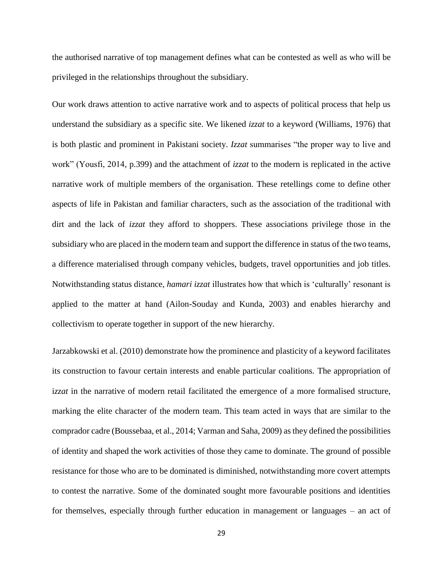the authorised narrative of top management defines what can be contested as well as who will be privileged in the relationships throughout the subsidiary.

Our work draws attention to active narrative work and to aspects of political process that help us understand the subsidiary as a specific site. We likened *izzat* to a keyword (Williams, 1976) that is both plastic and prominent in Pakistani society. *Izzat* summarises "the proper way to live and work" (Yousfi, 2014, p.399) and the attachment of *izzat* to the modern is replicated in the active narrative work of multiple members of the organisation. These retellings come to define other aspects of life in Pakistan and familiar characters, such as the association of the traditional with dirt and the lack of *izzat* they afford to shoppers. These associations privilege those in the subsidiary who are placed in the modern team and support the difference in status of the two teams, a difference materialised through company vehicles, budgets, travel opportunities and job titles. Notwithstanding status distance, *hamari izzat* illustrates how that which is 'culturally' resonant is applied to the matter at hand (Ailon-Souday and Kunda, 2003) and enables hierarchy and collectivism to operate together in support of the new hierarchy.

Jarzabkowski et al. (2010) demonstrate how the prominence and plasticity of a keyword facilitates its construction to favour certain interests and enable particular coalitions. The appropriation of i*zzat* in the narrative of modern retail facilitated the emergence of a more formalised structure, marking the elite character of the modern team. This team acted in ways that are similar to the comprador cadre (Boussebaa, et al., 2014; Varman and Saha, 2009) as they defined the possibilities of identity and shaped the work activities of those they came to dominate. The ground of possible resistance for those who are to be dominated is diminished, notwithstanding more covert attempts to contest the narrative. Some of the dominated sought more favourable positions and identities for themselves, especially through further education in management or languages – an act of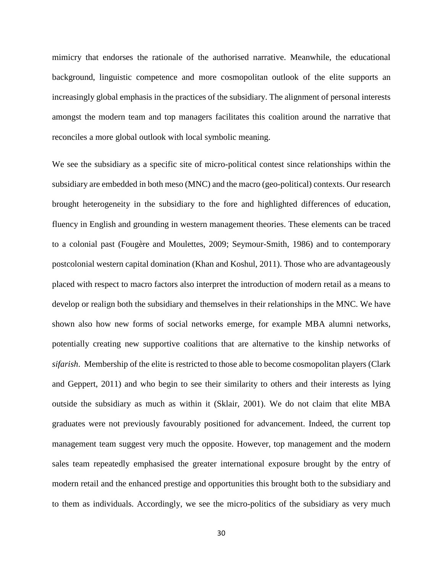mimicry that endorses the rationale of the authorised narrative. Meanwhile, the educational background, linguistic competence and more cosmopolitan outlook of the elite supports an increasingly global emphasis in the practices of the subsidiary. The alignment of personal interests amongst the modern team and top managers facilitates this coalition around the narrative that reconciles a more global outlook with local symbolic meaning.

We see the subsidiary as a specific site of micro-political contest since relationships within the subsidiary are embedded in both meso (MNC) and the macro (geo-political) contexts. Our research brought heterogeneity in the subsidiary to the fore and highlighted differences of education, fluency in English and grounding in western management theories. These elements can be traced to a colonial past (Fougère and Moulettes, 2009; Seymour-Smith, 1986) and to contemporary postcolonial western capital domination (Khan and Koshul, 2011). Those who are advantageously placed with respect to macro factors also interpret the introduction of modern retail as a means to develop or realign both the subsidiary and themselves in their relationships in the MNC. We have shown also how new forms of social networks emerge, for example MBA alumni networks, potentially creating new supportive coalitions that are alternative to the kinship networks of *sifarish*. Membership of the elite is restricted to those able to become cosmopolitan players (Clark and Geppert, 2011) and who begin to see their similarity to others and their interests as lying outside the subsidiary as much as within it (Sklair, 2001). We do not claim that elite MBA graduates were not previously favourably positioned for advancement. Indeed, the current top management team suggest very much the opposite. However, top management and the modern sales team repeatedly emphasised the greater international exposure brought by the entry of modern retail and the enhanced prestige and opportunities this brought both to the subsidiary and to them as individuals. Accordingly, we see the micro-politics of the subsidiary as very much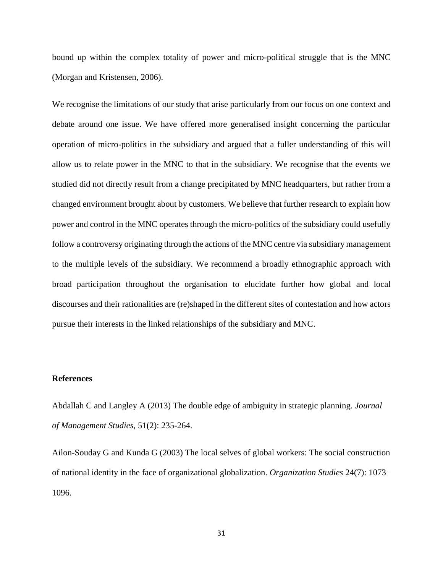bound up within the complex totality of power and micro-political struggle that is the MNC (Morgan and Kristensen, 2006).

We recognise the limitations of our study that arise particularly from our focus on one context and debate around one issue. We have offered more generalised insight concerning the particular operation of micro-politics in the subsidiary and argued that a fuller understanding of this will allow us to relate power in the MNC to that in the subsidiary. We recognise that the events we studied did not directly result from a change precipitated by MNC headquarters, but rather from a changed environment brought about by customers. We believe that further research to explain how power and control in the MNC operates through the micro-politics of the subsidiary could usefully follow a controversy originating through the actions of the MNC centre via subsidiary management to the multiple levels of the subsidiary. We recommend a broadly ethnographic approach with broad participation throughout the organisation to elucidate further how global and local discourses and their rationalities are (re)shaped in the different sites of contestation and how actors pursue their interests in the linked relationships of the subsidiary and MNC.

## **References**

Abdallah C and Langley A (2013) The double edge of ambiguity in strategic planning. *Journal of Management Studies*, 51(2): 235-264.

Ailon-Souday G and Kunda G (2003) The local selves of global workers: The social construction of national identity in the face of organizational globalization. *Organization Studies* 24(7): 1073– 1096.

31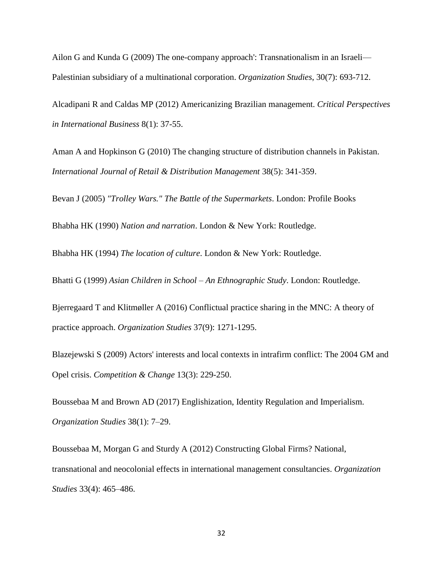Ailon G and Kunda G (2009) The one-company approach': Transnationalism in an Israeli— Palestinian subsidiary of a multinational corporation. *Organization Studies*, 30(7): 693-712.

Alcadipani R and Caldas MP (2012) Americanizing Brazilian management. *Critical Perspectives in International Business* 8(1): 37-55.

Aman A and Hopkinson G (2010) The changing structure of distribution channels in Pakistan. *International Journal of Retail & Distribution Management* 38(5): 341-359.

Bevan J (2005) *"Trolley Wars." The Battle of the Supermarkets*. London: Profile Books

Bhabha HK (1990) *Nation and narration*. London & New York: Routledge.

Bhabha HK (1994) *The location of culture*. London & New York: Routledge.

Bhatti G (1999) *Asian Children in School – An Ethnographic Study*. London: Routledge.

Bjerregaard T and Klitmøller A (2016) Conflictual practice sharing in the MNC: A theory of practice approach. *Organization Studies* 37(9): 1271-1295.

Blazejewski S (2009) Actors' interests and local contexts in intrafirm conflict: The 2004 GM and Opel crisis. *Competition & Change* 13(3): 229-250.

Boussebaa M and Brown AD (2017) Englishization, Identity Regulation and Imperialism. *Organization Studies* 38(1): 7–29.

Boussebaa M, Morgan G and Sturdy A (2012) Constructing Global Firms? National, transnational and neocolonial effects in international management consultancies. *Organization Studies* 33(4): 465–486.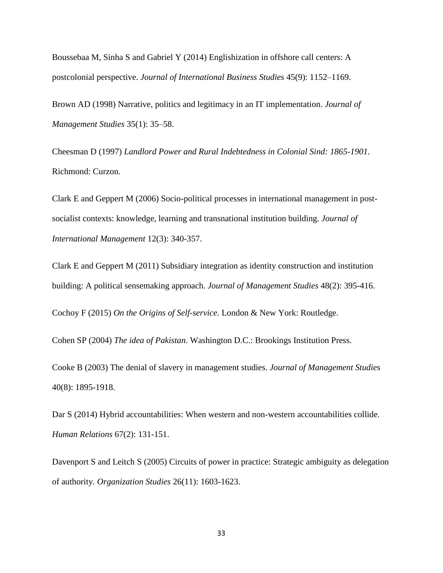Boussebaa M, Sinha S and Gabriel Y (2014) Englishization in offshore call centers: A postcolonial perspective. *Journal of International Business Studies* 45(9): 1152–1169.

Brown AD (1998) Narrative, politics and legitimacy in an IT implementation. *Journal of Management Studies* 35(1): 35–58.

Cheesman D (1997) *Landlord Power and Rural Indebtedness in Colonial Sind: 1865-1901*. Richmond: Curzon.

Clark E and Geppert M (2006) Socio-political processes in international management in postsocialist contexts: knowledge, learning and transnational institution building. *Journal of International Management* 12(3): 340-357.

Clark E and Geppert M (2011) Subsidiary integration as identity construction and institution building: A political sensemaking approach. *Journal of Management Studies* 48(2): 395-416.

Cochoy F (2015) *On the Origins of Self-service*. London & New York: Routledge.

Cohen SP (2004) *The idea of Pakistan*. Washington D.C.: Brookings Institution Press.

Cooke B (2003) The denial of slavery in management studies. *Journal of Management Studies* 40(8): 1895-1918.

Dar S (2014) Hybrid accountabilities: When western and non-western accountabilities collide. *Human Relations* 67(2): 131-151.

Davenport S and Leitch S (2005) Circuits of power in practice: Strategic ambiguity as delegation of authority. *Organization Studies* 26(11): 1603-1623.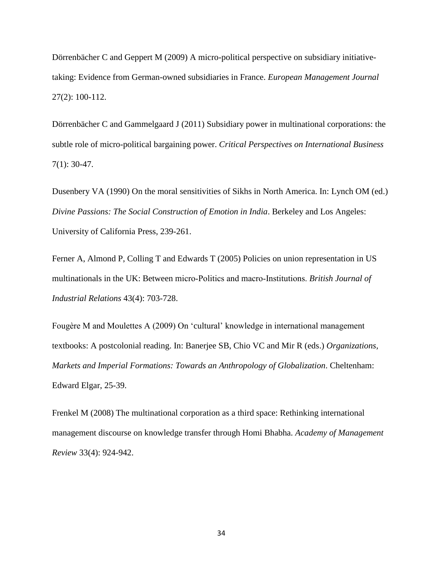Dörrenbächer C and Geppert M (2009) A micro-political perspective on subsidiary initiativetaking: Evidence from German-owned subsidiaries in France. *European Management Journal* 27(2): 100-112.

Dörrenbächer C and Gammelgaard J (2011) Subsidiary power in multinational corporations: the subtle role of micro-political bargaining power. *Critical Perspectives on International Business* 7(1): 30-47.

Dusenbery VA (1990) On the moral sensitivities of Sikhs in North America. In: Lynch OM (ed.) *Divine Passions: The Social Construction of Emotion in India*. Berkeley and Los Angeles: University of California Press, 239-261.

Ferner A, Almond P, Colling T and Edwards T (2005) Policies on union representation in US multinationals in the UK: Between micro‐Politics and macro‐Institutions. *British Journal of Industrial Relations* 43(4): 703-728.

Fougère M and Moulettes A (2009) On 'cultural' knowledge in international management textbooks: A postcolonial reading. In: Banerjee SB, Chio VC and Mir R (eds.) *Organizations, Markets and Imperial Formations: Towards an Anthropology of Globalization*. Cheltenham: Edward Elgar, 25-39.

Frenkel M (2008) The multinational corporation as a third space: Rethinking international management discourse on knowledge transfer through Homi Bhabha. *Academy of Management Review* 33(4): 924-942.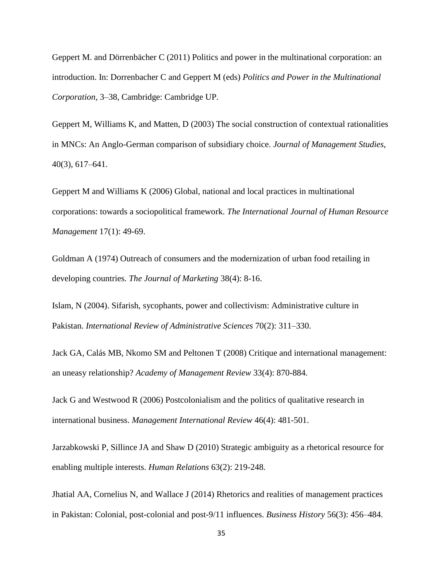Geppert M. and Dörrenbächer C (2011) Politics and power in the multinational corporation: an introduction. In: Dorrenbacher C and Geppert M (eds) *Politics and Power in the Multinational Corporation*, 3–38, Cambridge: Cambridge UP.

Geppert M, Williams K, and Matten, D (2003) The social construction of contextual rationalities in MNCs: An Anglo-German comparison of subsidiary choice. *Journal of Management Studies*, 40(3), 617–641.

Geppert M and Williams K (2006) Global, national and local practices in multinational corporations: towards a sociopolitical framework. *The International Journal of Human Resource Management* 17(1): 49-69.

Goldman A (1974) Outreach of consumers and the modernization of urban food retailing in developing countries. *The Journal of Marketing* 38(4): 8-16.

Islam, N (2004). Sifarish, sycophants, power and collectivism: Administrative culture in Pakistan. *International Review of Administrative Sciences* 70(2): 311–330.

Jack GA, Calás MB, Nkomo SM and Peltonen T (2008) Critique and international management: an uneasy relationship? *Academy of Management Review* 33(4): 870-884.

Jack G and Westwood R (2006) Postcolonialism and the politics of qualitative research in international business. *Management International Review* 46(4): 481-501.

Jarzabkowski P, Sillince JA and Shaw D (2010) Strategic ambiguity as a rhetorical resource for enabling multiple interests. *Human Relations* 63(2): 219-248.

Jhatial AA, Cornelius N, and Wallace J (2014) Rhetorics and realities of management practices in Pakistan: Colonial, post-colonial and post-9/11 influences. *Business History* 56(3): 456–484.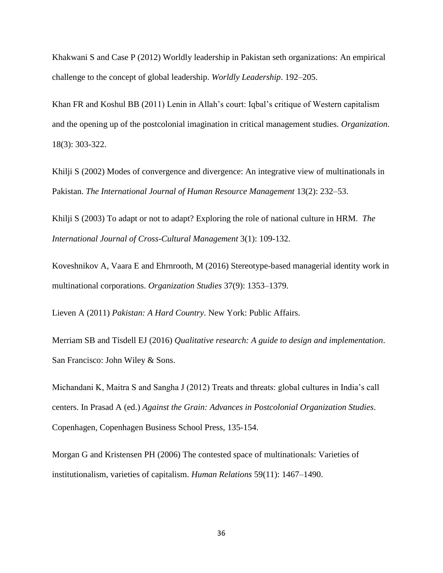Khakwani S and Case P (2012) Worldly leadership in Pakistan seth organizations: An empirical challenge to the concept of global leadership. *Worldly Leadership*. 192–205.

Khan FR and Koshul BB (2011) Lenin in Allah's court: Iqbal's critique of Western capitalism and the opening up of the postcolonial imagination in critical management studies. *Organization*. 18(3): 303-322.

Khilji S (2002) Modes of convergence and divergence: An integrative view of multinationals in Pakistan. *The International Journal of Human Resource Management* 13(2): 232–53.

Khilji S (2003) To adapt or not to adapt? Exploring the role of national culture in HRM. *The International Journal of Cross-Cultural Management* 3(1): 109-132.

Koveshnikov A, Vaara E and Ehrnrooth, M (2016) Stereotype-based managerial identity work in multinational corporations. *Organization Studies* 37(9): 1353–1379.

Lieven A (2011) *Pakistan: A Hard Country*. New York: Public Affairs.

Merriam SB and Tisdell EJ (2016) *Qualitative research: A guide to design and implementation*. San Francisco: John Wiley & Sons.

Michandani K, Maitra S and Sangha J (2012) Treats and threats: global cultures in India's call centers. In Prasad A (ed.) *Against the Grain: Advances in Postcolonial Organization Studies*. Copenhagen, Copenhagen Business School Press, 135-154.

Morgan G and Kristensen PH (2006) The contested space of multinationals: Varieties of institutionalism, varieties of capitalism. *Human Relations* 59(11): 1467–1490.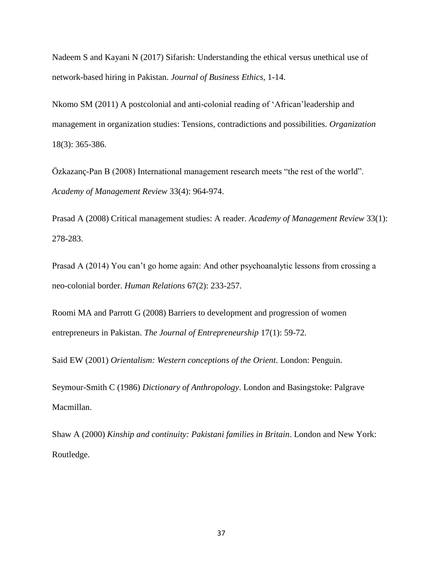Nadeem S and Kayani N (2017) Sifarish: Understanding the ethical versus unethical use of network-based hiring in Pakistan. *Journal of Business Ethics*, 1-14.

Nkomo SM (2011) A postcolonial and anti-colonial reading of 'African'leadership and management in organization studies: Tensions, contradictions and possibilities. *Organization* 18(3): 365-386.

Özkazanç-Pan B (2008) International management research meets "the rest of the world". *Academy of Management Review* 33(4): 964-974.

Prasad A (2008) Critical management studies: A reader. *Academy of Management Review* 33(1): 278-283.

Prasad A (2014) You can't go home again: And other psychoanalytic lessons from crossing a neo-colonial border. *Human Relations* 67(2): 233-257.

Roomi MA and Parrott G (2008) Barriers to development and progression of women entrepreneurs in Pakistan. *The Journal of Entrepreneurship* 17(1): 59-72.

Said EW (2001) *Orientalism: Western conceptions of the Orient*. London: Penguin.

Seymour-Smith C (1986) *Dictionary of Anthropology*. London and Basingstoke: Palgrave Macmillan.

Shaw A (2000) *Kinship and continuity: Pakistani families in Britain*. London and New York: Routledge.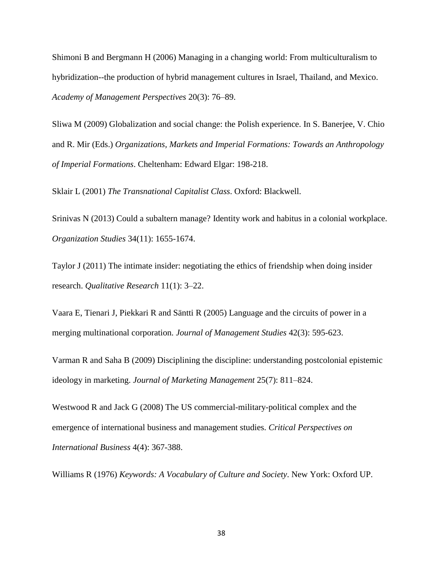Shimoni B and Bergmann H (2006) Managing in a changing world: From multiculturalism to hybridization--the production of hybrid management cultures in Israel, Thailand, and Mexico. *Academy of Management Perspectives* 20(3): 76–89.

Sliwa M (2009) Globalization and social change: the Polish experience. In S. Banerjee, V. Chio and R. Mir (Eds.) *Organizations, Markets and Imperial Formations: Towards an Anthropology of Imperial Formations*. Cheltenham: Edward Elgar: 198-218.

Sklair L (2001) *The Transnational Capitalist Class*. Oxford: Blackwell.

Srinivas N (2013) Could a subaltern manage? Identity work and habitus in a colonial workplace. *Organization Studies* 34(11): 1655-1674.

Taylor J (2011) The intimate insider: negotiating the ethics of friendship when doing insider research. *Qualitative Research* 11(1): 3–22.

Vaara E, Tienari J, Piekkari R and Säntti R (2005) Language and the circuits of power in a merging multinational corporation. *Journal of Management Studies* 42(3): 595-623.

Varman R and Saha B (2009) Disciplining the discipline: understanding postcolonial epistemic ideology in marketing. *Journal of Marketing Management* 25(7): 811–824.

Westwood R and Jack G (2008) The US commercial-military-political complex and the emergence of international business and management studies. *Critical Perspectives on International Business* 4(4): 367-388.

Williams R (1976) *Keywords: A Vocabulary of Culture and Society*. New York: Oxford UP.